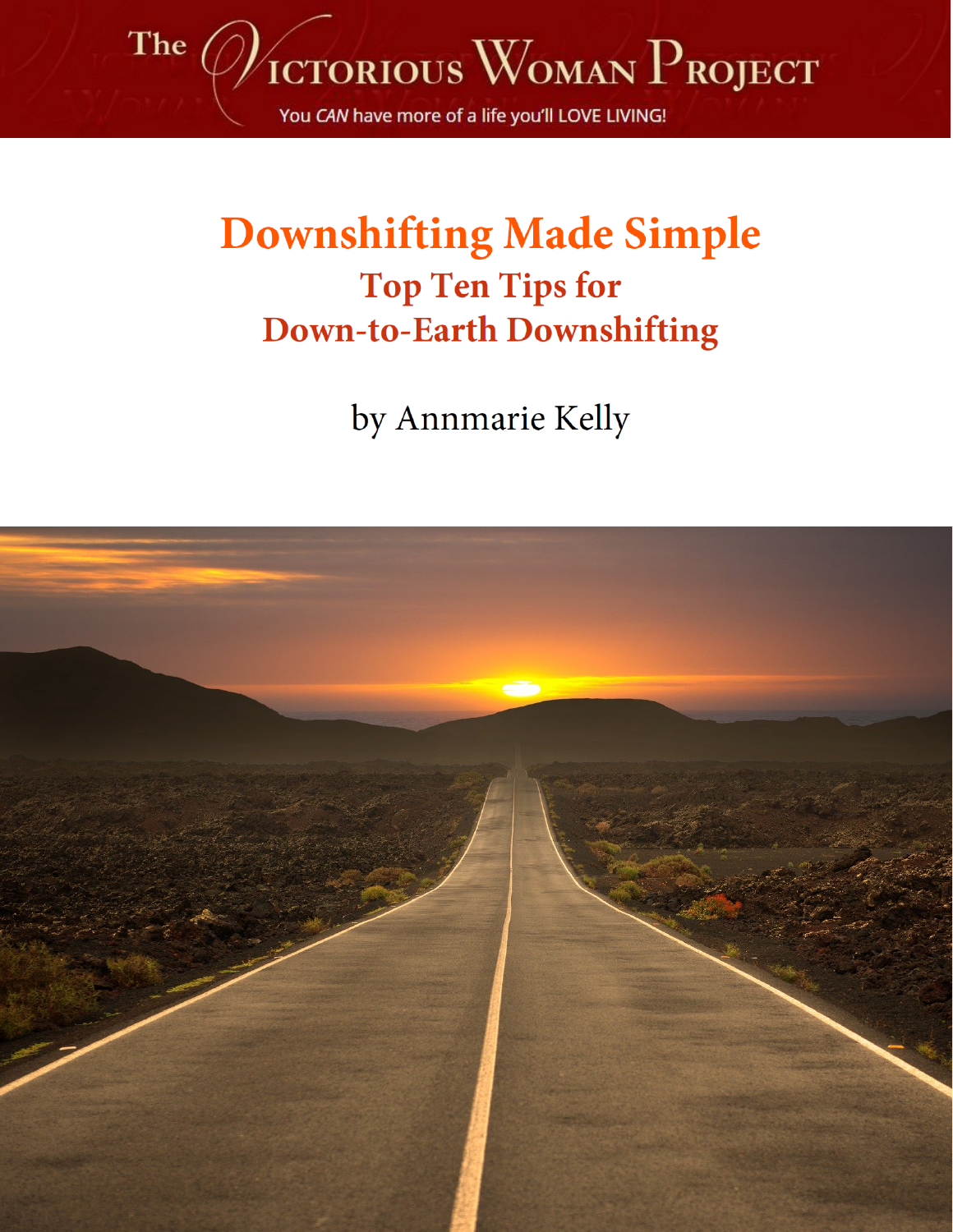

# **Downshifting Made Simple Top Ten Tips for Down-to-Earth Downshifting**

by Annmarie Kelly

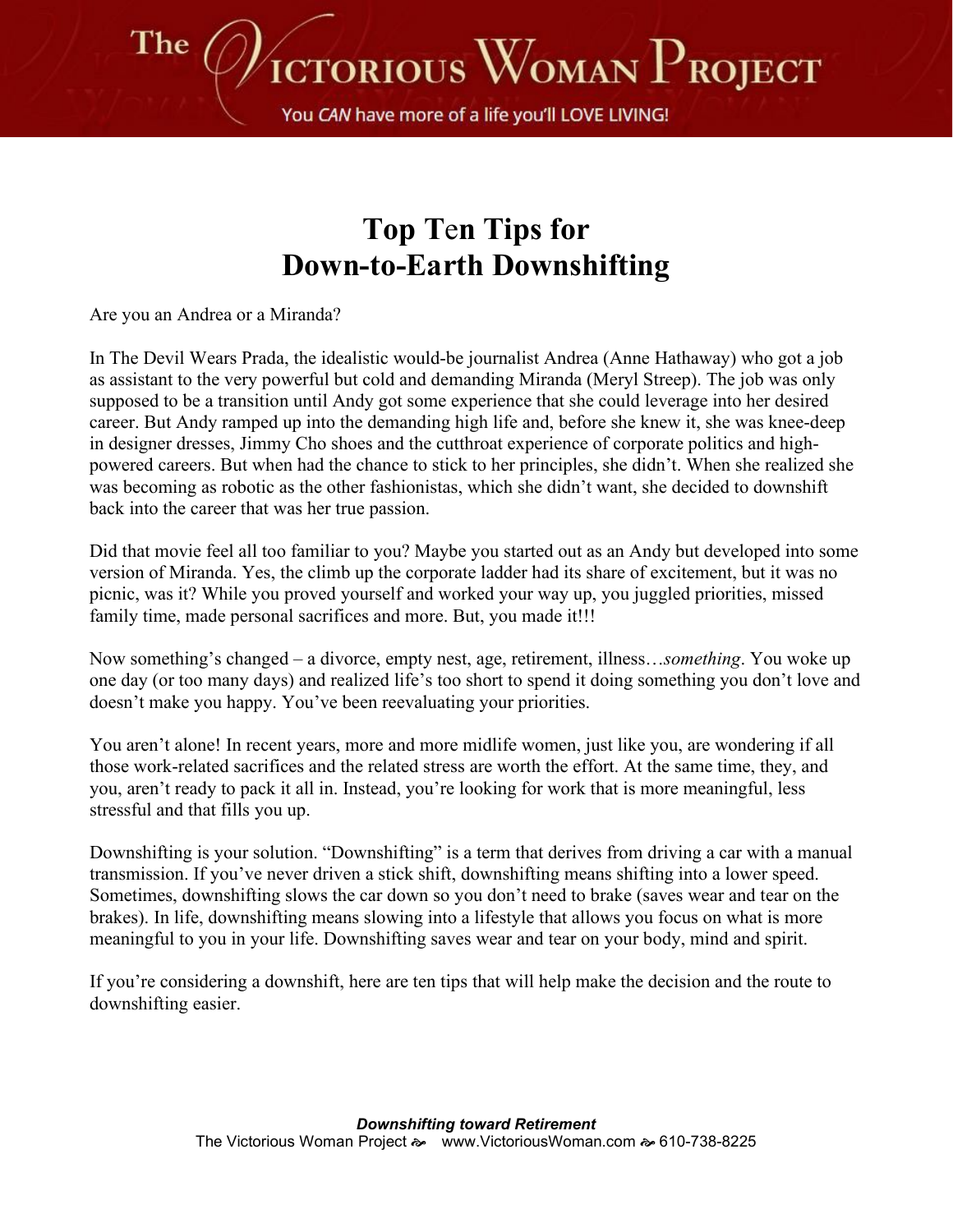

You CAN have more of a life you'll LOVE LIVING!

## **Top T**e**n Tips for Down-to-Earth Downshifting**

Are you an Andrea or a Miranda?

In The Devil Wears Prada, the idealistic would-be journalist Andrea (Anne Hathaway) who got a job as assistant to the very powerful but cold and demanding Miranda (Meryl Streep). The job was only supposed to be a transition until Andy got some experience that she could leverage into her desired career. But Andy ramped up into the demanding high life and, before she knew it, she was knee-deep in designer dresses, Jimmy Cho shoes and the cutthroat experience of corporate politics and highpowered careers. But when had the chance to stick to her principles, she didn't. When she realized she was becoming as robotic as the other fashionistas, which she didn't want, she decided to downshift back into the career that was her true passion.

Did that movie feel all too familiar to you? Maybe you started out as an Andy but developed into some version of Miranda. Yes, the climb up the corporate ladder had its share of excitement, but it was no picnic, was it? While you proved yourself and worked your way up, you juggled priorities, missed family time, made personal sacrifices and more. But, you made it!!!

Now something's changed – a divorce, empty nest, age, retirement, illness…*something*. You woke up one day (or too many days) and realized life's too short to spend it doing something you don't love and doesn't make you happy. You've been reevaluating your priorities.

You aren't alone! In recent years, more and more midlife women, just like you, are wondering if all those work-related sacrifices and the related stress are worth the effort. At the same time, they, and you, aren't ready to pack it all in. Instead, you're looking for work that is more meaningful, less stressful and that fills you up.

Downshifting is your solution. "Downshifting" is a term that derives from driving a car with a manual transmission. If you've never driven a stick shift, downshifting means shifting into a lower speed. Sometimes, downshifting slows the car down so you don't need to brake (saves wear and tear on the brakes). In life, downshifting means slowing into a lifestyle that allows you focus on what is more meaningful to you in your life. Downshifting saves wear and tear on your body, mind and spirit.

If you're considering a downshift, here are ten tips that will help make the decision and the route to downshifting easier.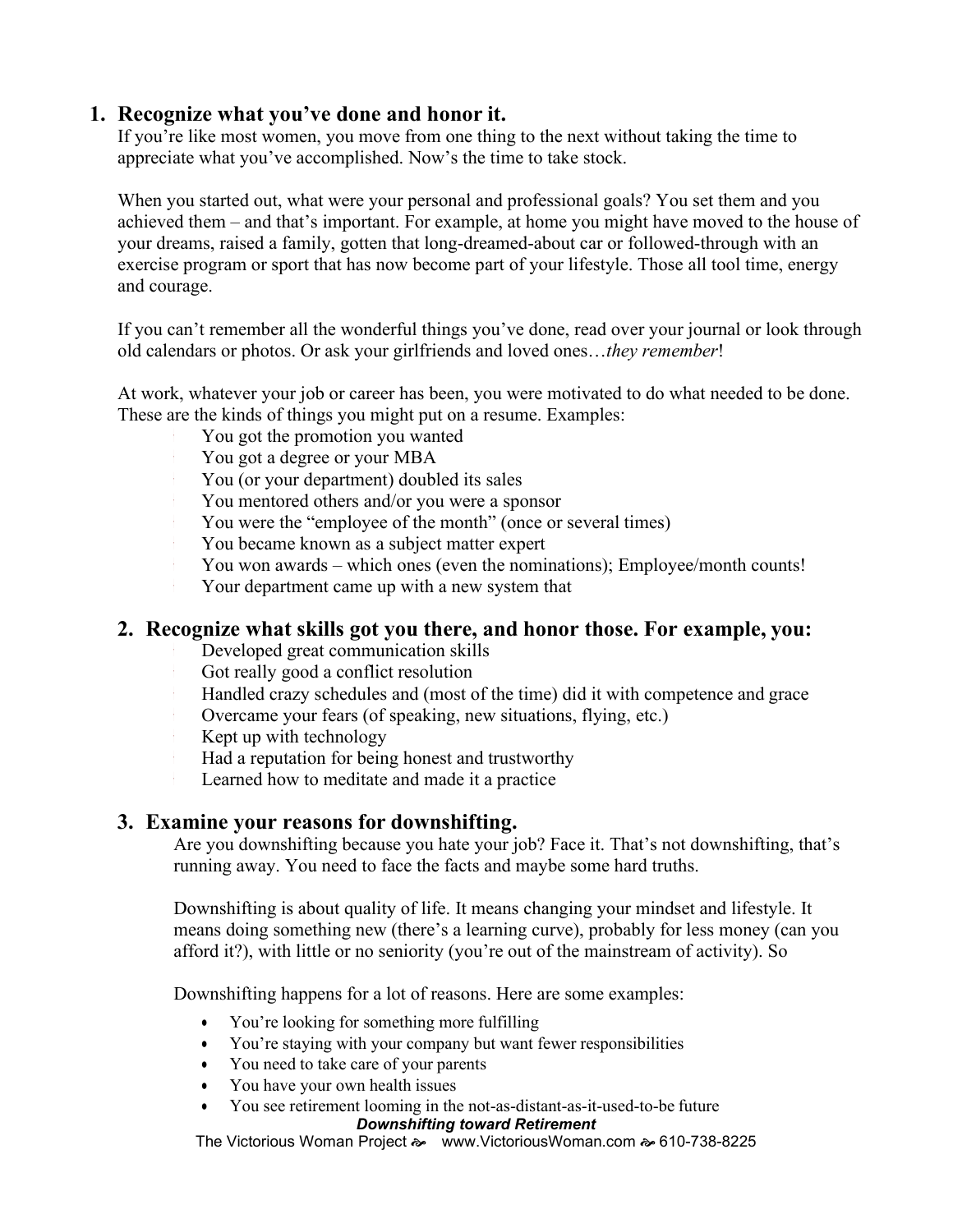## **1. Recognize what you've done and honor it.**

If you're like most women, you move from one thing to the next without taking the time to appreciate what you've accomplished. Now's the time to take stock.

When you started out, what were your personal and professional goals? You set them and you achieved them – and that's important. For example, at home you might have moved to the house of your dreams, raised a family, gotten that long-dreamed-about car or followed-through with an exercise program or sport that has now become part of your lifestyle. Those all tool time, energy and courage.

If you can't remember all the wonderful things you've done, read over your journal or look through old calendars or photos. Or ask your girlfriends and loved ones…*they remember*!

At work, whatever your job or career has been, you were motivated to do what needed to be done. These are the kinds of things you might put on a resume. Examples:

- You got the promotion you wanted
- You got a degree or your MBA
- You (or your department) doubled its sales
- You mentored others and/or you were a sponsor
- You were the "employee of the month" (once or several times)
- You became known as a subject matter expert
- You won awards which ones (even the nominations); Employee/month counts!
- Your department came up with a new system that

## **2. Recognize what skills got you there, and honor those. For example, you:**

- Developed great communication skills
- Got really good a conflict resolution
- Handled crazy schedules and (most of the time) did it with competence and grace
- Overcame your fears (of speaking, new situations, flying, etc.)
- Kept up with technology
- Had a reputation for being honest and trustworthy
- Learned how to meditate and made it a practice

## **3. Examine your reasons for downshifting.**

Are you downshifting because you hate your job? Face it. That's not downshifting, that's running away. You need to face the facts and maybe some hard truths.

Downshifting is about quality of life. It means changing your mindset and lifestyle. It means doing something new (there's a learning curve), probably for less money (can you afford it?), with little or no seniority (you're out of the mainstream of activity). So

Downshifting happens for a lot of reasons. Here are some examples:

- You're looking for something more fulfilling
- You're staying with your company but want fewer responsibilities
- You need to take care of your parents
- You have your own health issues
- You see retirement looming in the not-as-distant-as-it-used-to-be future

#### *Downshifting toward Retirement*

The Victorious Woman Project  $\gg$  [www.VictoriousWoman.com](http://www.victoriouswoman.com/)  $\approx$  610-738-8225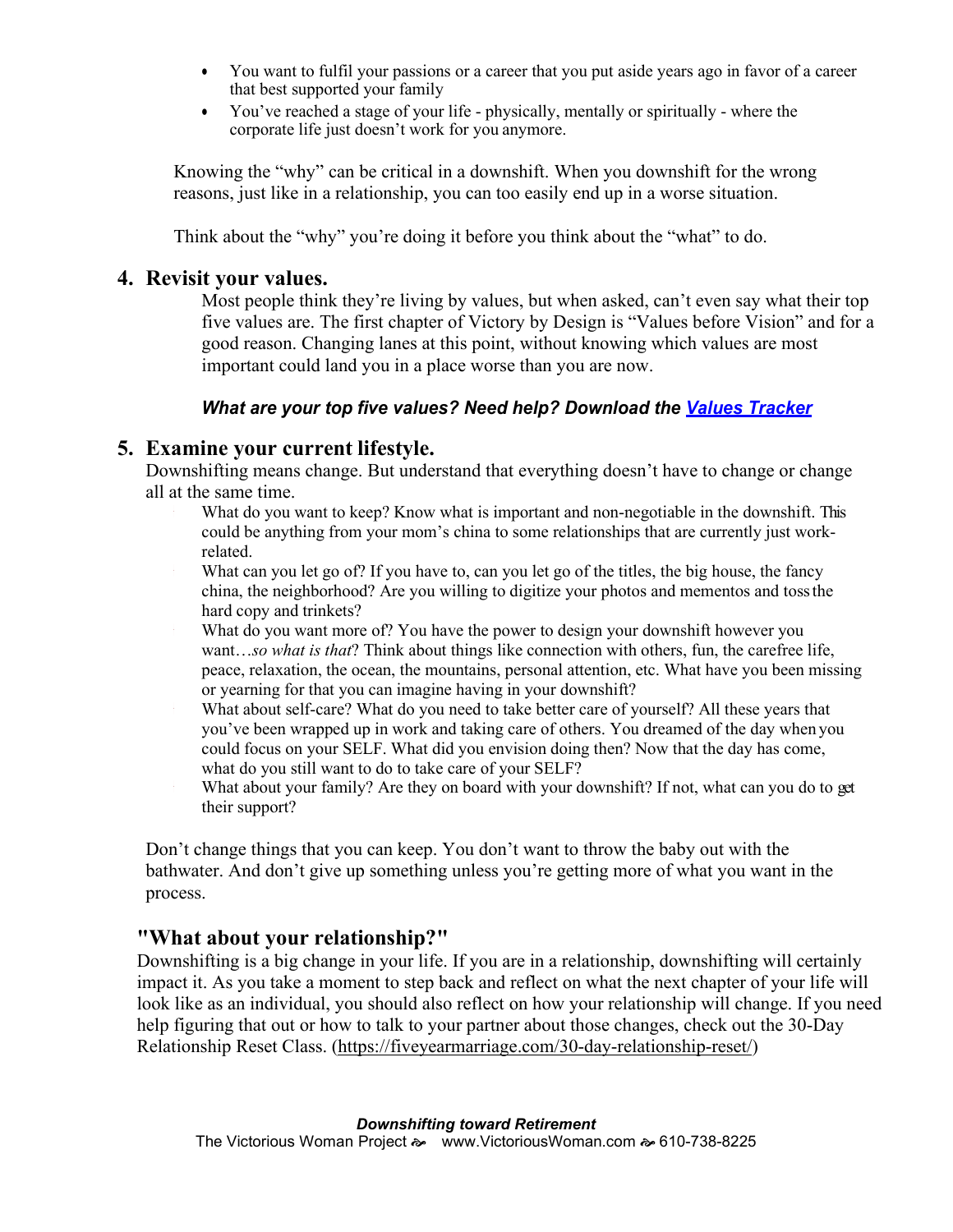- You want to fulfil your passions or a career that you put aside years ago in favor of a career that best supported your family
- You've reached a stage of your life physically, mentally or spiritually where the corporate life just doesn't work for you anymore.

Knowing the "why" can be critical in a downshift. When you downshift for the wrong reasons, just like in a relationship, you can too easily end up in a worse situation.

Think about the "why" you're doing it before you think about the "what" to do.

#### **4. Revisit your values.**

Most people think they're living by values, but when asked, can't even say what their top five values are. The first chapter of Victory by Design is "Values before Vision" and for a good reason. Changing lanes at this point, without knowing which values are most important could land you in a place worse than you are now.

#### *What are your top five values? Need help? Download the [Values Tracker](http://victoriouswoman.com/wp-content/uploads/2011/08/ValuesList.pdf)*

### **5. Examine your current lifestyle.**

Downshifting means change. But understand that everything doesn't have to change or change all at the same time.

- What do you want to keep? Know what is important and non-negotiable in the downshift. This could be anything from your mom's china to some relationships that are currently just workrelated.
- What can you let go of? If you have to, can you let go of the titles, the big house, the fancy china, the neighborhood? Are you willing to digitize your photos and mementos and tossthe hard copy and trinkets?
- What do you want more of? You have the power to design your downshift however you want…*so what is that*? Think about things like connection with others, fun, the carefree life, peace, relaxation, the ocean, the mountains, personal attention, etc. What have you been missing or yearning for that you can imagine having in your downshift?
- What about self-care? What do you need to take better care of yourself? All these years that you've been wrapped up in work and taking care of others. You dreamed of the day when you could focus on your SELF. What did you envision doing then? Now that the day has come, what do you still want to do to take care of your SELF?
- What about your family? Are they on board with your downshift? If not, what can you do to get their support?

Don't change things that you can keep. You don't want to throw the baby out with the bathwater. And don't give up something unless you're getting more of what you want in the process.

### **"What about your relationship?"**

Downshifting is a big change in your life. If you are in a relationship, downshifting will certainly impact it. As you take a moment to step back and reflect on what the next chapter of your life will look like as an individual, you should also reflect on how your relationship will change. If you need help figuring that out or how to talk to your partner about those changes, check out the 30-Day Relationship Reset Class. [\(https://fiveyearmarriage.com/30-day-relationship-reset/\)](https://fiveyearmarriage.com/30-day-relationship-reset/)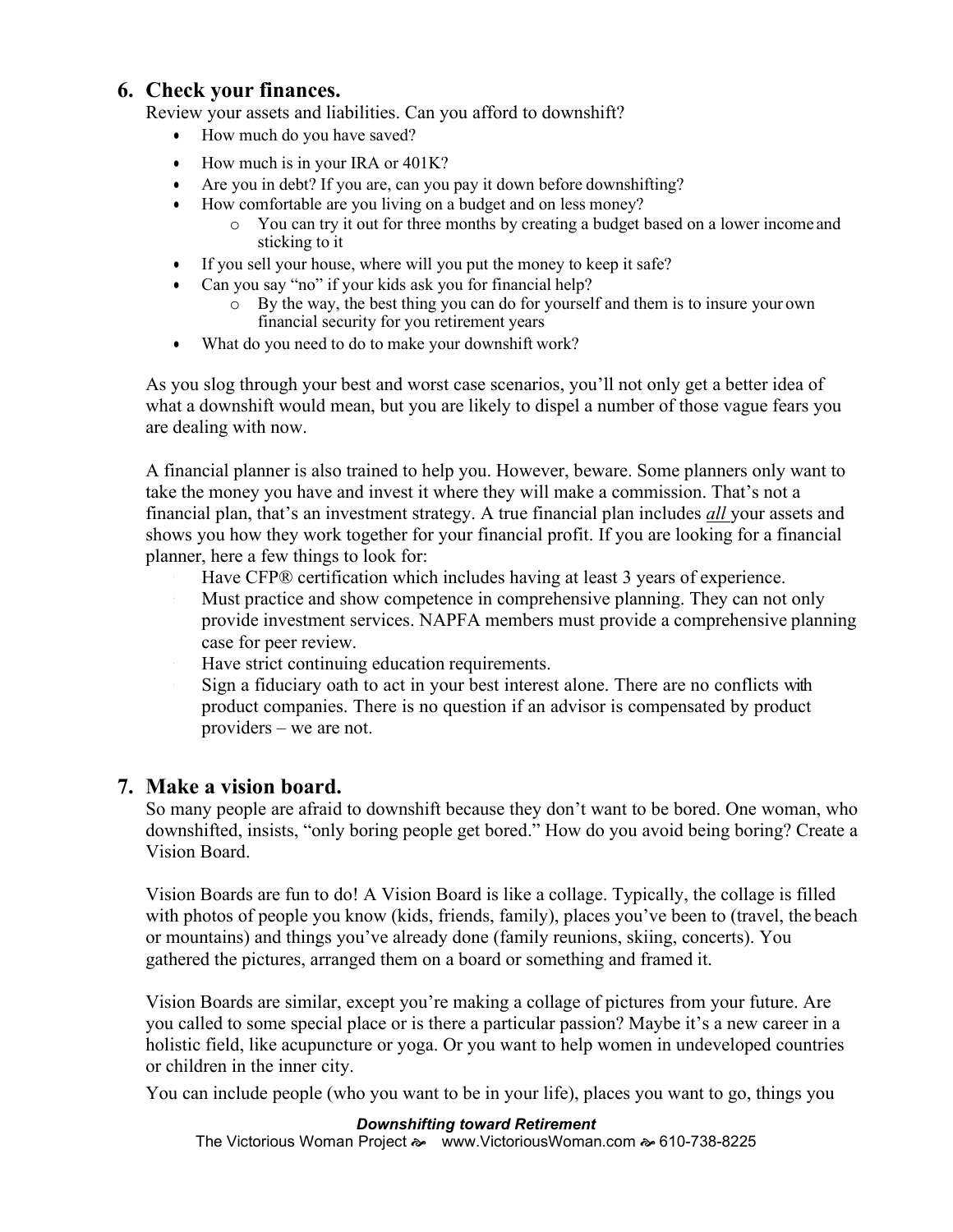### **6. Check your finances.**

Review your assets and liabilities. Can you afford to downshift?

- How much do you have saved?
- How much is in your IRA or 401K?
- Are you in debt? If you are, can you pay it down before downshifting?
- How comfortable are you living on a budget and on less money?
	- o You can try it out for three months by creating a budget based on a lower income and sticking to it
- If you sell your house, where will you put the money to keep it safe?
- Can you say "no" if your kids ask you for financial help?
	- o By the way, the best thing you can do for yourself and them is to insure your own financial security for you retirement years
- What do you need to do to make your downshift work?

As you slog through your best and worst case scenarios, you'll not only get a better idea of what a downshift would mean, but you are likely to dispel a number of those vague fears you are dealing with now.

A financial planner is also trained to help you. However, beware. Some planners only want to take the money you have and invest it where they will make a commission. That's not a financial plan, that's an investment strategy. A true financial plan includes *all* your assets and shows you how they work together for your financial profit. If you are looking for a financial planner, here a few things to look for:

- Have CFP® certification which includes having at least 3 years of experience.
- Must practice and show competence in comprehensive planning. They can not only provide investment services. NAPFA members must provide a comprehensive planning case for peer review.
- Have strict continuing education requirements.
- Sign a fiduciary oath to act in your best interest alone. There are no conflicts with product companies. There is no question if an advisor is compensated by product providers – we are not.

## **7. Make a vision board.**

So many people are afraid to downshift because they don't want to be bored. One woman, who downshifted, insists, "only boring people get bored." How do you avoid being boring? Create a Vision Board.

Vision Boards are fun to do! A Vision Board is like a collage. Typically, the collage is filled with photos of people you know (kids, friends, family), places you've been to (travel, the beach or mountains) and things you've already done (family reunions, skiing, concerts). You gathered the pictures, arranged them on a board or something and framed it.

Vision Boards are similar, except you're making a collage of pictures from your future. Are you called to some special place or is there a particular passion? Maybe it's a new career in a holistic field, like acupuncture or yoga. Or you want to help women in undeveloped countries or children in the inner city.

You can include people (who you want to be in your life), places you want to go, things you

#### *Downshifting toward Retirement*

The Victorious Woman Project  $\gg$  [www.VictoriousWoman.com](http://www.victoriouswoman.com/)  $\approx$  610-738-8225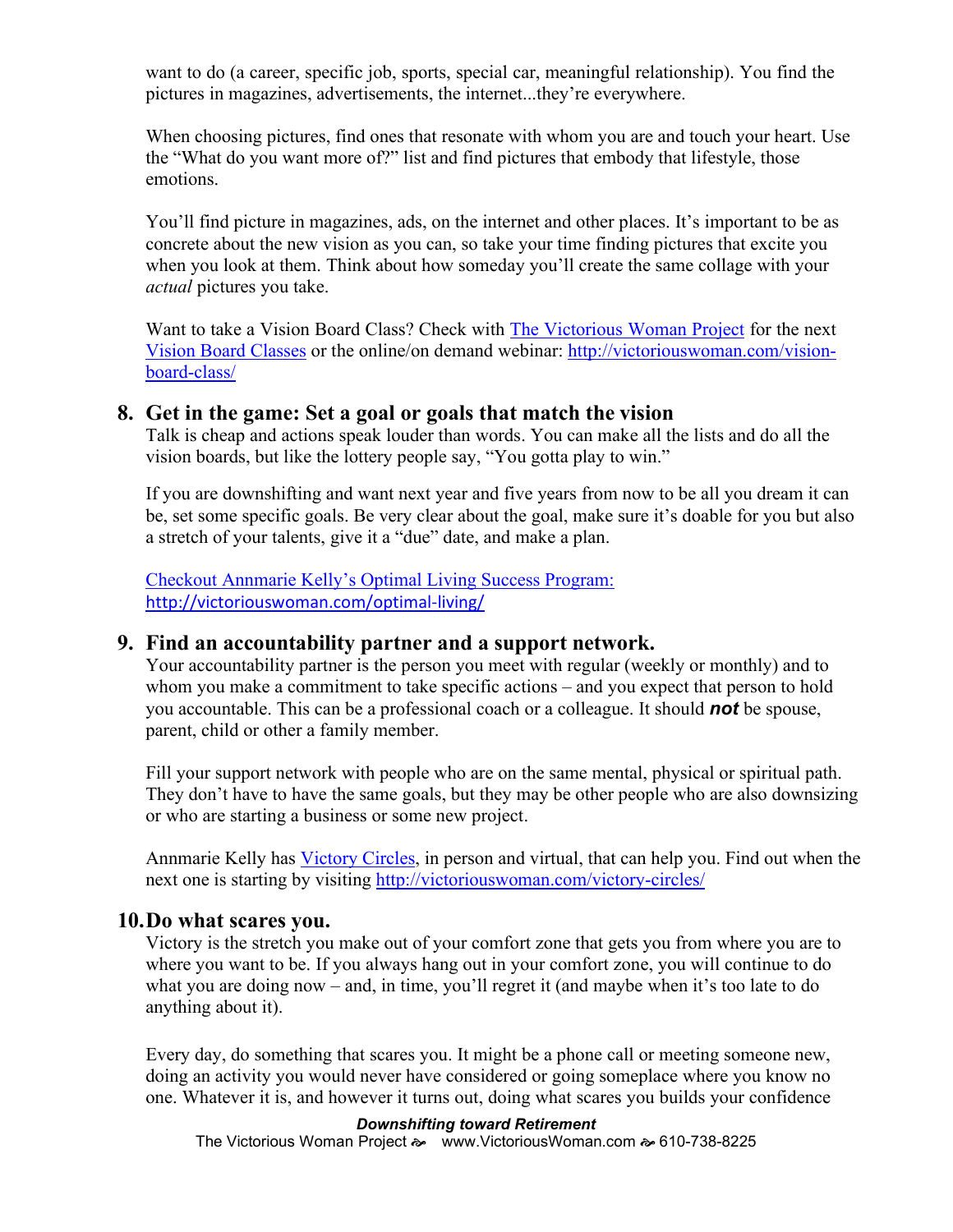want to do (a career, specific job, sports, special car, meaningful relationship). You find the pictures in magazines, advertisements, the internet...they're everywhere.

When choosing pictures, find ones that resonate with whom you are and touch your heart. Use the "What do you want more of?" list and find pictures that embody that lifestyle, those emotions.

You'll find picture in magazines, ads, on the internet and other places. It's important to be as concrete about the new vision as you can, so take your time finding pictures that excite you when you look at them. Think about how someday you'll create the same collage with your *actual* pictures you take.

Want to take a Vision Board Class? Check with [The Victorious Woman Project](http://victoriouswoman.com/) for the next [Vision Board Classes](http://victoriouswoman.com/vision-board-class/) or the online/on demand webinar: [http://victoriouswoman.com/vision](http://victoriouswoman.com/vision-board-class/)[board-class/](http://victoriouswoman.com/vision-board-class/)

#### **8. Get in the game: Set a goal or goals that match the vision**

Talk is cheap and actions speak louder than words. You can make all the lists and do all the vision boards, but like the lottery people say, "You gotta play to win."

If you are downshifting and want next year and five years from now to be all you dream it can be, set some specific goals. Be very clear about the goal, make sure it's doable for you but also a stretch of your talents, give it a "due" date, and make a plan.

[Checkout Annmarie Kelly's Optimal Living Success Program:](http://victoriouswoman.com/optimal-living/) <http://victoriouswoman.com/optimal-living/>

#### **9. Find an accountability partner and a support network.**

Your accountability partner is the person you meet with regular (weekly or monthly) and to whom you make a commitment to take specific actions – and you expect that person to hold you accountable. This can be a professional coach or a colleague. It should *not* be spouse, parent, child or other a family member.

Fill your support network with people who are on the same mental, physical or spiritual path. They don't have to have the same goals, but they may be other people who are also downsizing or who are starting a business or some new project.

Annmarie Kelly has [Victory Circles,](http://victoriouswoman.com/victory-products/victory-circles/) in person and virtual, that can help you. Find out when the next one is starting by visiting<http://victoriouswoman.com/victory-circles/>

#### **10.Do what scares you.**

Victory is the stretch you make out of your comfort zone that gets you from where you are to where you want to be. If you always hang out in your comfort zone, you will continue to do what you are doing now – and, in time, you'll regret it (and maybe when it's too late to do anything about it).

Every day, do something that scares you. It might be a phone call or meeting someone new, doing an activity you would never have considered or going someplace where you know no one. Whatever it is, and however it turns out, doing what scares you builds your confidence

#### *Downshifting toward Retirement*

The Victorious Woman Project  $\gg$  [www.VictoriousWoman.com](http://www.victoriouswoman.com/)  $\approx 610-738-8225$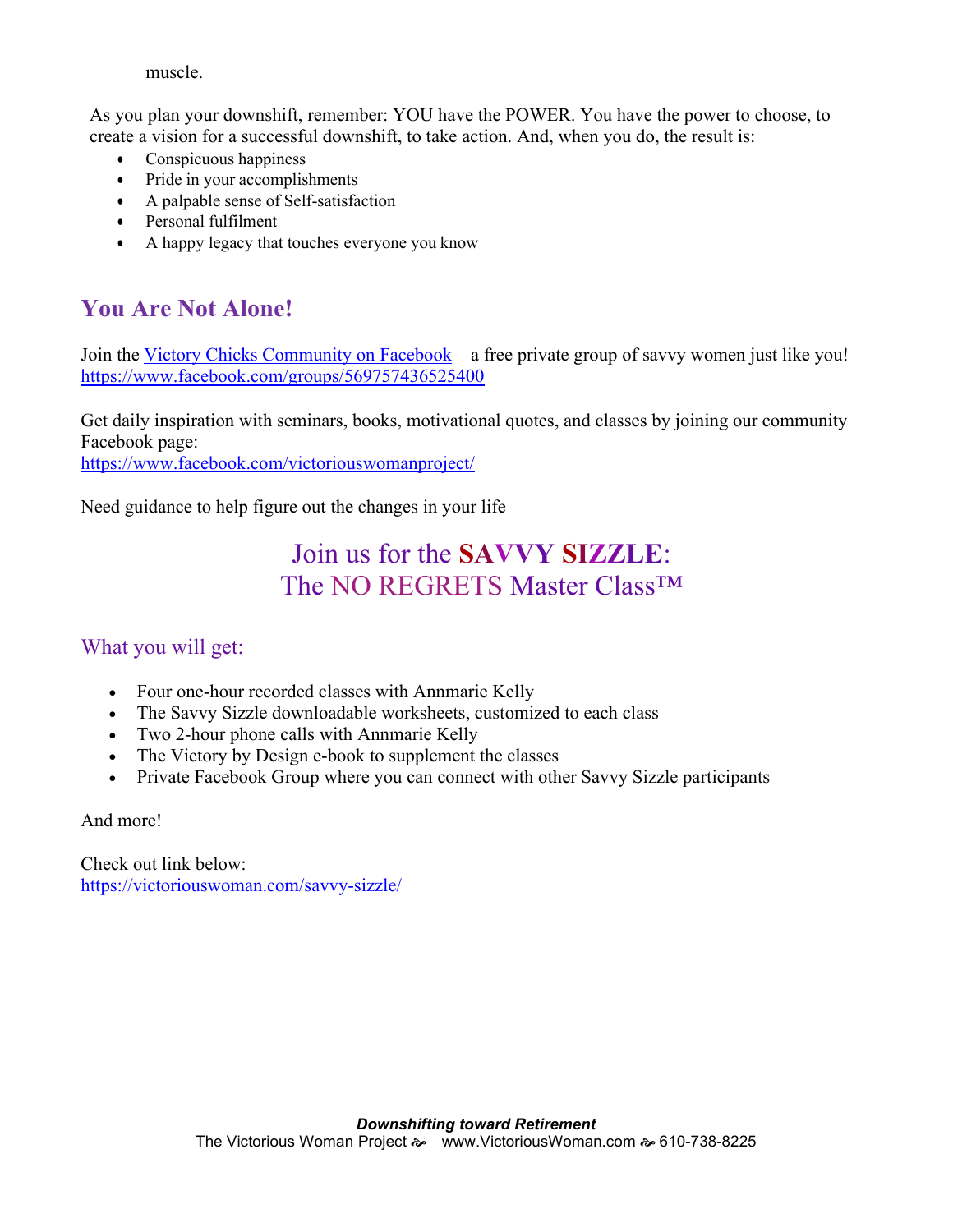muscle.

As you plan your downshift, remember: YOU have the POWER. You have the power to choose, to create a vision for a successful downshift, to take action. And, when you do, the result is:

- Conspicuous happiness
- Pride in your accomplishments
- A palpable sense of Self-satisfaction
- Personal fulfilment
- A happy legacy that touches everyone you know

## **You Are Not Alone!**

Join the [Victory Chicks Community on Facebook](https://www.facebook.com/groups/569757436525400) – a free private group of savvy women just like you! <https://www.facebook.com/groups/569757436525400>

Get daily inspiration with seminars, books, motivational quotes, and classes by joining our community Facebook page:

<https://www.facebook.com/victoriouswomanproject/>

Need guidance to help figure out the changes in your life

## Join us for the **SAVVY SIZZLE**: The NO REGRETS Master Class™

## What you will get:

- Four one-hour recorded classes with Annmarie Kelly
- The Savvy Sizzle downloadable worksheets, customized to each class
- Two 2-hour phone calls with Annmarie Kelly
- The Victory by Design e-book to supplement the classes
- Private Facebook Group where you can connect with other Savvy Sizzle participants

And more!

Check out link below: <https://victoriouswoman.com/savvy-sizzle/>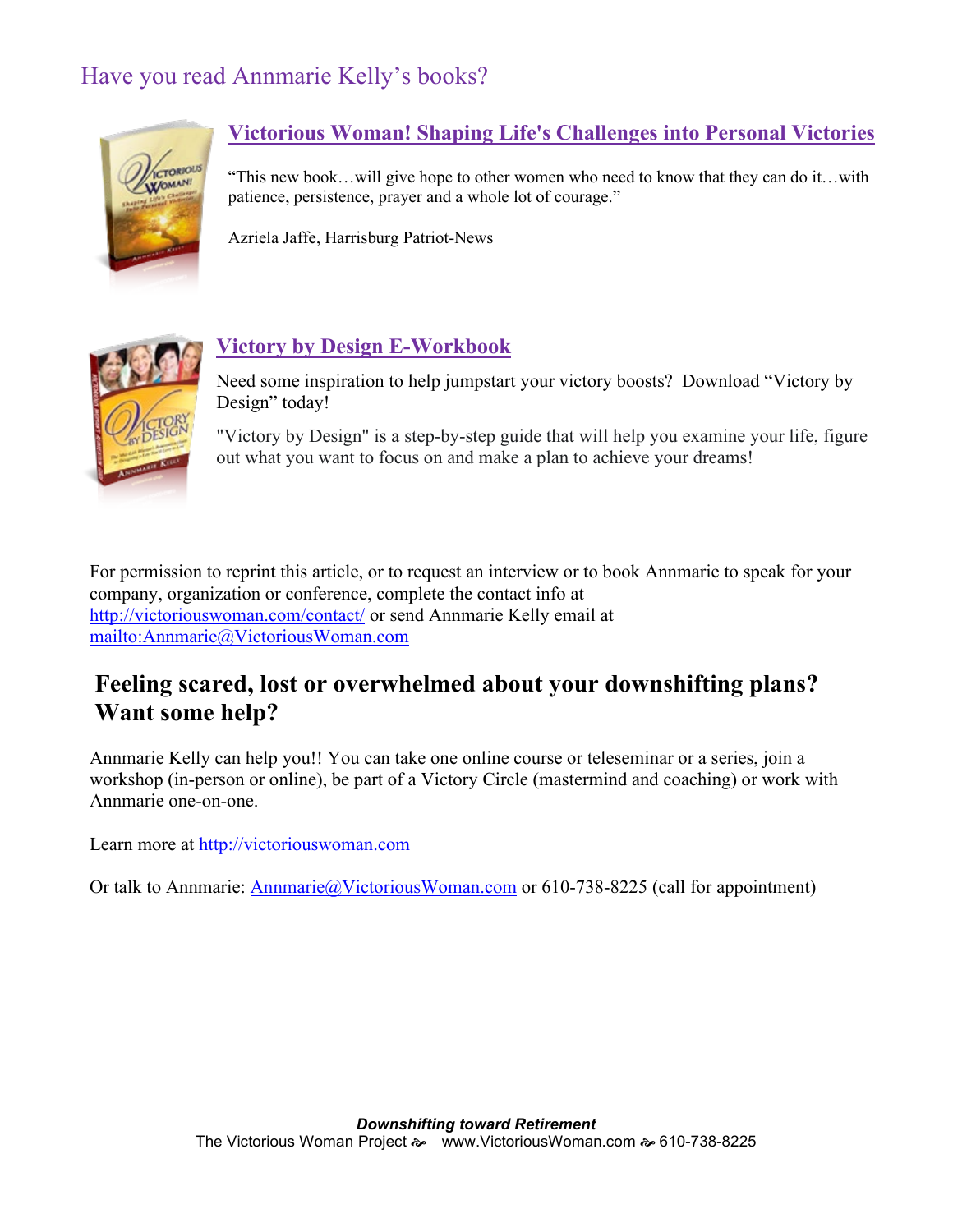## Have you read Annmarie Kelly's books?



## **[Victorious Woman! Shaping Life's Challenges into Personal Victories](https://victoriouswoman.com/victory-products/books/)**

"This new book…will give hope to other women who need to know that they can do it…with patience, persistence, prayer and a whole lot of courage."

Azriela Jaffe, Harrisburg Patriot-News



## **Victory by Design [E-Workbook](http://victoriouswoman.com/victory-by-design-a-guide-to-transform-your-life/)**

Need some inspiration to help jumpstart your victory boosts? Download "Victory by Design" today!

"Victory by Design" is a step-by-step guide that will help you examine your life, figure out what you want to focus on and make a plan to achieve your dreams!

For permission to reprint this article, or to request an interview or to book Annmarie to speak for your company, organization or conference, complete the contact info at <http://victoriouswoman.com/contact/> or send Annmarie Kelly email at <mailto:Annmarie@VictoriousWoman.com>

## **Feeling scared, lost or overwhelmed about your downshifting plans? Want some help?**

Annmarie Kelly can help you!! You can take one online course or teleseminar or a series, join a workshop (in-person or online), be part of a Victory Circle (mastermind and coaching) or work with Annmarie one-on-one.

Learn more at [http://victoriouswoman.com](http://victoriouswoman.com/)

Or talk to Annmarie: [Annmarie@VictoriousWoman.com](mailto:Annmarie@VictoriousWoman.com) or 610-738-8225 (call for appointment)